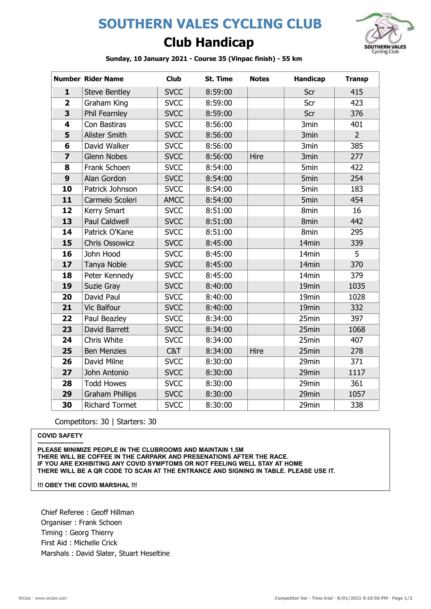# SOUTHERN VALES CYCLING CLUB



### Club Handicap

Sunday, 10 January 2021 - Course 35 (Vinpac finish) - 55 km

|                         | <b>Number Rider Name</b> | <b>Club</b> | <b>St. Time</b> | <b>Notes</b> | <b>Handicap</b>   | <b>Transp</b>  |
|-------------------------|--------------------------|-------------|-----------------|--------------|-------------------|----------------|
| $\mathbf{1}$            | <b>Steve Bentley</b>     | <b>SVCC</b> | 8:59:00         |              | Scr               | 415            |
| $\overline{\mathbf{2}}$ | Graham King              | <b>SVCC</b> | 8:59:00         |              | Scr               | 423            |
| 3                       | Phil Fearnley            | <b>SVCC</b> | 8:59:00         |              | Scr               | 376            |
| $\overline{\mathbf{4}}$ | Con Bastiras             | <b>SVCC</b> | 8:56:00         |              | 3min              | 401            |
| 5                       | <b>Alister Smith</b>     | <b>SVCC</b> | 8:56:00         |              | 3min              | $\overline{2}$ |
| 6                       | David Walker             | <b>SVCC</b> | 8:56:00         |              | 3min              | 385            |
| $\overline{z}$          | <b>Glenn Nobes</b>       | <b>SVCC</b> | 8:56:00         | Hire         | 3 <sub>min</sub>  | 277            |
| 8                       | Frank Schoen             | <b>SVCC</b> | 8:54:00         |              | 5 <sub>min</sub>  | 422            |
| 9                       | Alan Gordon              | <b>SVCC</b> | 8:54:00         |              | 5 <sub>min</sub>  | 254            |
| 10                      | Patrick Johnson          | <b>SVCC</b> | 8:54:00         |              | 5 <sub>min</sub>  | 183            |
| 11                      | Carmelo Scoleri          | <b>AMCC</b> | 8:54:00         |              | 5 <sub>min</sub>  | 454            |
| 12                      | Kerry Smart              | <b>SVCC</b> | 8:51:00         |              | 8 <sub>min</sub>  | 16             |
| 13                      | <b>Paul Caldwell</b>     | <b>SVCC</b> | 8:51:00         |              | 8min              | 442            |
| 14                      | Patrick O'Kane           | <b>SVCC</b> | 8:51:00         |              | 8min              | 295            |
| 15                      | <b>Chris Ossowicz</b>    | <b>SVCC</b> | 8:45:00         |              | 14min             | 339            |
| 16                      | John Hood                | <b>SVCC</b> | 8:45:00         |              | 14 <sub>min</sub> | 5              |
| 17                      | Tanya Noble              | <b>SVCC</b> | 8:45:00         |              | 14 <sub>min</sub> | 370            |
| 18                      | Peter Kennedy            | <b>SVCC</b> | 8:45:00         |              | 14 <sub>min</sub> | 379            |
| 19                      | Suzie Gray               | <b>SVCC</b> | 8:40:00         |              | 19min             | 1035           |
| 20                      | David Paul               | <b>SVCC</b> | 8:40:00         |              | 19min             | 1028           |
| 21                      | <b>Vic Balfour</b>       | <b>SVCC</b> | 8:40:00         |              | 19min             | 332            |
| 22                      | Paul Beazley             | <b>SVCC</b> | 8:34:00         |              | 25min             | 397            |
| 23                      | David Barrett            | <b>SVCC</b> | 8:34:00         |              | 25min             | 1068           |
| 24                      | Chris White              | <b>SVCC</b> | 8:34:00         |              | 25min             | 407            |
| 25                      | <b>Ben Menzies</b>       | C&T         | 8:34:00         | Hire         | 25min             | 278            |
| 26                      | David Milne              | <b>SVCC</b> | 8:30:00         |              | 29min             | 371            |
| 27                      | John Antonio             | <b>SVCC</b> | 8:30:00         |              | 29min             | 1117           |
| 28                      | <b>Todd Howes</b>        | <b>SVCC</b> | 8:30:00         |              | 29min             | 361            |
| 29                      | <b>Graham Phillips</b>   | <b>SVCC</b> | 8:30:00         |              | 29min             | 1057           |
| 30                      | <b>Richard Tormet</b>    | <b>SVCC</b> | 8:30:00         |              | 29min             | 338            |

Competitors: 30 | Starters: 30

#### COVID SAFETY

---------------------- PLEASE MINIMIZE PEOPLE IN THE CLUBROOMS AND MAINTAIN 1.5M THERE WILL BE COFFEE IN THE CARPARK AND PRESENATIONS AFTER THE RACE. IF YOU ARE EXHIBITING ANY COVID SYMPTOMS OR NOT FEELING WELL STAY AT HOME THERE WILL BE A QR CODE TO SCAN AT THE ENTRANCE AND SIGNING IN TABLE. PLEASE USE IT.

!!! OBEY THE COVID MARSHAL !!!

Chief Referee : Geoff Hillman Organiser : Frank Schoen Timing : Georg Thierry First Aid : Michelle Crick Marshals : David Slater, Stuart Heseltine